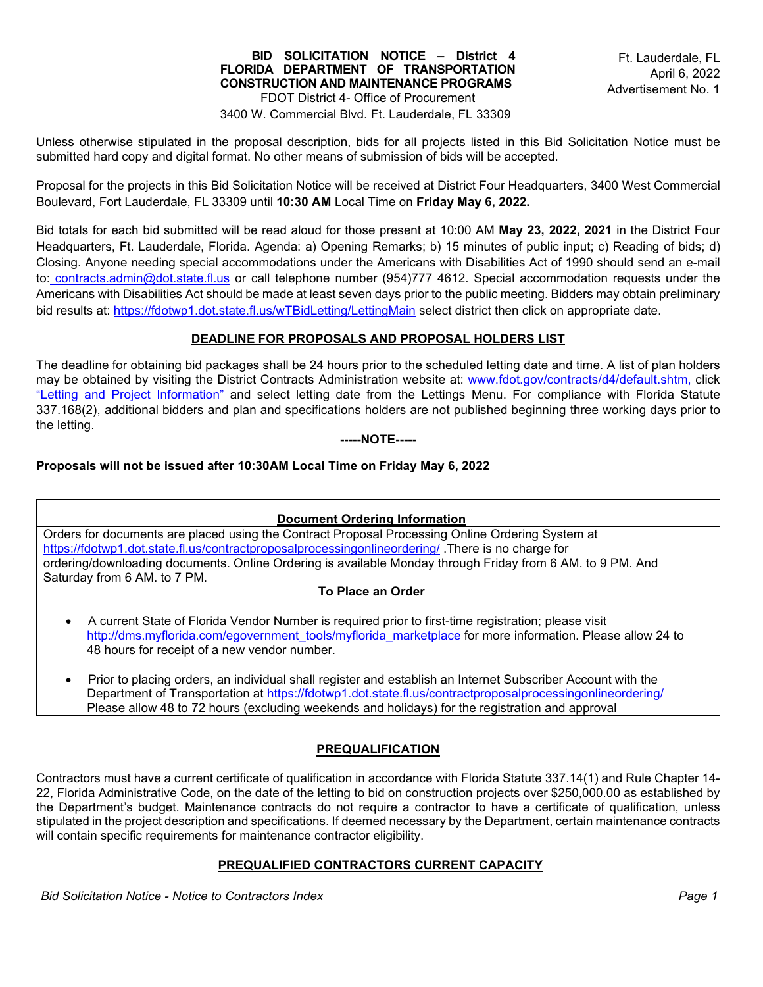#### **BID SOLICITATION NOTICE – District 4 FLORIDA DEPARTMENT OF TRANSPORTATION CONSTRUCTION AND MAINTENANCE PROGRAMS**  FDOT District 4- Office of Procurement

3400 W. Commercial Blvd. Ft. Lauderdale, FL 33309

Unless otherwise stipulated in the proposal description, bids for all projects listed in this Bid Solicitation Notice must be submitted hard copy and digital format. No other means of submission of bids will be accepted.

Proposal for the projects in this Bid Solicitation Notice will be received at District Four Headquarters, 3400 West Commercial Boulevard, Fort Lauderdale, FL 33309 until **10:30 AM** Local Time on **Friday May 6, 2022.**

Bid totals for each bid submitted will be read aloud for those present at 10:00 AM **May 23, 2022, 2021** in the District Four Headquarters, Ft. Lauderdale, Florida. Agenda: a) Opening Remarks; b) 15 minutes of public input; c) Reading of bids; d) Closing. Anyone needing special accommodations under the Americans with Disabilities Act of 1990 should send an e-mail to: [contracts.admin@dot.state.fl.us](mailto:contracts.admin@dot.state.fl.us) or call telephone number (954)777 4612. Special accommodation requests under the Americans with Disabilities Act should be made at least seven days prior to the public meeting. Bidders may obtain preliminary bid results at:<https://fdotwp1.dot.state.fl.us/wTBidLetting/LettingMain>select district then click on appropriate date.

## **DEADLINE FOR PROPOSALS AND PROPOSAL HOLDERS LIST**

The deadline for obtaining bid packages shall be 24 hours prior to the scheduled letting date and time. A list of plan holders may be obtained by visiting the District Contracts Administration website at: [www.fdot.gov/contracts/d4/default.shtm,](http://www.fdot.gov/contracts/d4/default.shtm) click "Letting and Project Information" and select letting date from the Lettings Menu. For compliance with Florida Statute 337.168(2), additional bidders and plan and specifications holders are not published beginning three working days prior to the letting.

 **-----NOTE-----** 

## **Proposals will not be issued after 10:30AM Local Time on Friday May 6, 2022**

#### **Document Ordering Information**

Orders for documents are placed using the Contract Proposal Processing Online Ordering System at <https://fdotwp1.dot.state.fl.us/contractproposalprocessingonlineordering/> .There is no charge for ordering/downloading documents. Online Ordering is available Monday through Friday from 6 AM. to 9 PM. And Saturday from 6 AM. to 7 PM.

#### **To Place an Order**

- A current State of Florida Vendor Number is required prior to first-time registration; please visit [http://dms.myflorida.com/egovernment\\_tools/myflorida\\_marketplace](http://dms.myflorida.com/egovernment_tools/myflorida_marketplace) for more information. Please allow 24 to 48 hours for receipt of a new vendor number.
- Prior to placing orders, an individual shall register and establish an Internet Subscriber Account with the Department of Transportation at <https://fdotwp1.dot.state.fl.us/contractproposalprocessingonlineordering/> Please allow 48 to 72 hours (excluding weekends and holidays) for the registration and approval

# **PREQUALIFICATION**

Contractors must have a current certificate of qualification in accordance with Florida Statute 337.14(1) and Rule Chapter 14- 22, Florida Administrative Code, on the date of the letting to bid on construction projects over \$250,000.00 as established by the Department's budget. Maintenance contracts do not require a contractor to have a certificate of qualification, unless stipulated in the project description and specifications. If deemed necessary by the Department, certain maintenance contracts will contain specific requirements for maintenance contractor eligibility.

#### **PREQUALIFIED CONTRACTORS CURRENT CAPACITY**

*Bid Solicitation Notice - Notice to Contractors Index Page 1*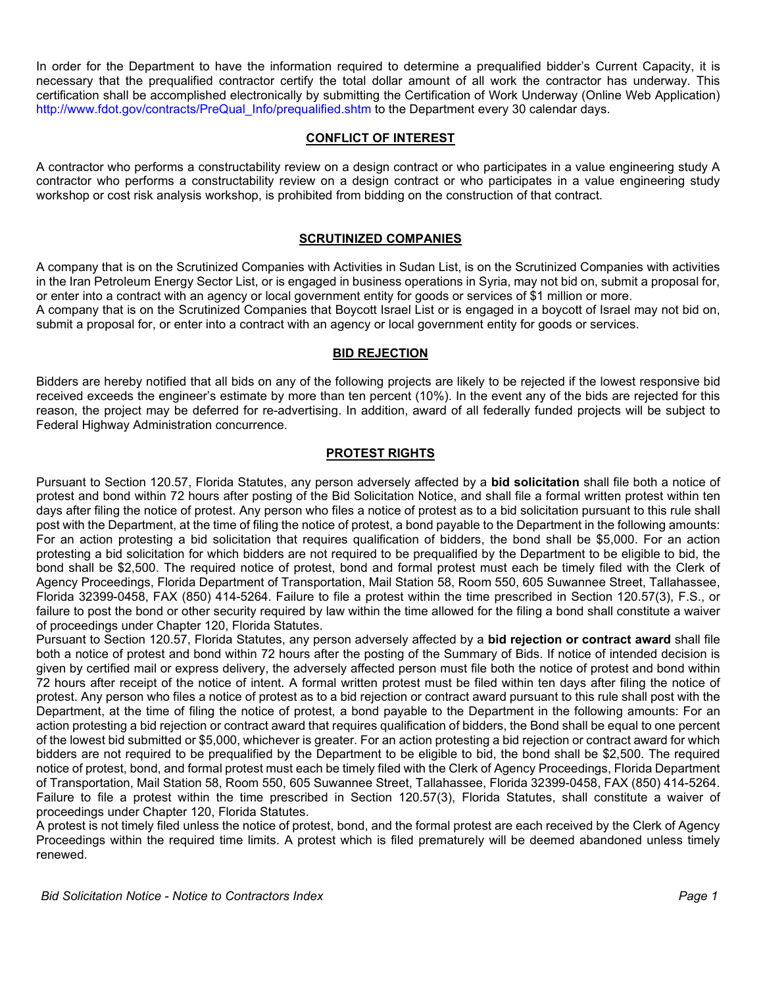In order for the Department to have the information required to determine a prequalified bidder's Current Capacity, it is necessary that the prequalified contractor certify the total dollar amount of all work the contractor has underway. This certification shall be accomplished electronically by submitting the Certification of Work Underway (Online Web Application) http://www.fdot.gov/contracts/PreQual\_Info/prequalified.shtm to the Department every 30 calendar days.

## **CONFLICT OF INTEREST**

A contractor who performs a constructability review on a design contract or who participates in a value engineering study A contractor who performs a constructability review on a design contract or who participates in a value engineering study workshop or cost risk analysis workshop, is prohibited from bidding on the construction of that contract.

#### **SCRUTINIZED COMPANIES**

A company that is on the Scrutinized Companies with Activities in Sudan List, is on the Scrutinized Companies with activities in the Iran Petroleum Energy Sector List, or is engaged in business operations in Syria, may not bid on, submit a proposal for, or enter into a contract with an agency or local government entity for goods or services of \$1 million or more. A company that is on the Scrutinized Companies that Boycott Israel List or is engaged in a boycott of Israel may not bid on, submit a proposal for, or enter into a contract with an agency or local government entity for goods or services.

## **BID REJECTION**

Bidders are hereby notified that all bids on any of the following projects are likely to be rejected if the lowest responsive bid received exceeds the engineer's estimate by more than ten percent (10%). In the event any of the bids are rejected for this reason, the project may be deferred for re-advertising. In addition, award of all federally funded projects will be subject to Federal Highway Administration concurrence.

## **PROTEST RIGHTS**

Pursuant to Section 120.57, Florida Statutes, any person adversely affected by a **bid solicitation** shall file both a notice of protest and bond within 72 hours after posting of the Bid Solicitation Notice, and shall file a formal written protest within ten days after filing the notice of protest. Any person who files a notice of protest as to a bid solicitation pursuant to this rule shall post with the Department, at the time of filing the notice of protest, a bond payable to the Department in the following amounts: For an action protesting a bid solicitation that requires qualification of bidders, the bond shall be \$5,000. For an action protesting a bid solicitation for which bidders are not required to be prequalified by the Department to be eligible to bid, the bond shall be \$2,500. The required notice of protest, bond and formal protest must each be timely filed with the Clerk of Agency Proceedings, Florida Department of Transportation, Mail Station 58, Room 550, 605 Suwannee Street, Tallahassee, Florida 32399-0458, FAX (850) 414-5264. Failure to file a protest within the time prescribed in Section 120.57(3), F.S., or failure to post the bond or other security required by law within the time allowed for the filing a bond shall constitute a waiver of proceedings under Chapter 120, Florida Statutes.

Pursuant to Section 120.57, Florida Statutes, any person adversely affected by a **bid rejection or contract award** shall file both a notice of protest and bond within 72 hours after the posting of the Summary of Bids. If notice of intended decision is given by certified mail or express delivery, the adversely affected person must file both the notice of protest and bond within 72 hours after receipt of the notice of intent. A formal written protest must be filed within ten days after filing the notice of protest. Any person who files a notice of protest as to a bid rejection or contract award pursuant to this rule shall post with the Department, at the time of filing the notice of protest, a bond payable to the Department in the following amounts: For an action protesting a bid rejection or contract award that requires qualification of bidders, the Bond shall be equal to one percent of the lowest bid submitted or \$5,000, whichever is greater. For an action protesting a bid rejection or contract award for which bidders are not required to be prequalified by the Department to be eligible to bid, the bond shall be \$2,500. The required notice of protest, bond, and formal protest must each be timely filed with the Clerk of Agency Proceedings, Florida Department of Transportation, Mail Station 58, Room 550, 605 Suwannee Street, Tallahassee, Florida 32399-0458, FAX (850) 414-5264. Failure to file a protest within the time prescribed in Section 120.57(3), Florida Statutes, shall constitute a waiver of proceedings under Chapter 120, Florida Statutes.

A protest is not timely filed unless the notice of protest, bond, and the formal protest are each received by the Clerk of Agency Proceedings within the required time limits. A protest which is filed prematurely will be deemed abandoned unless timely renewed.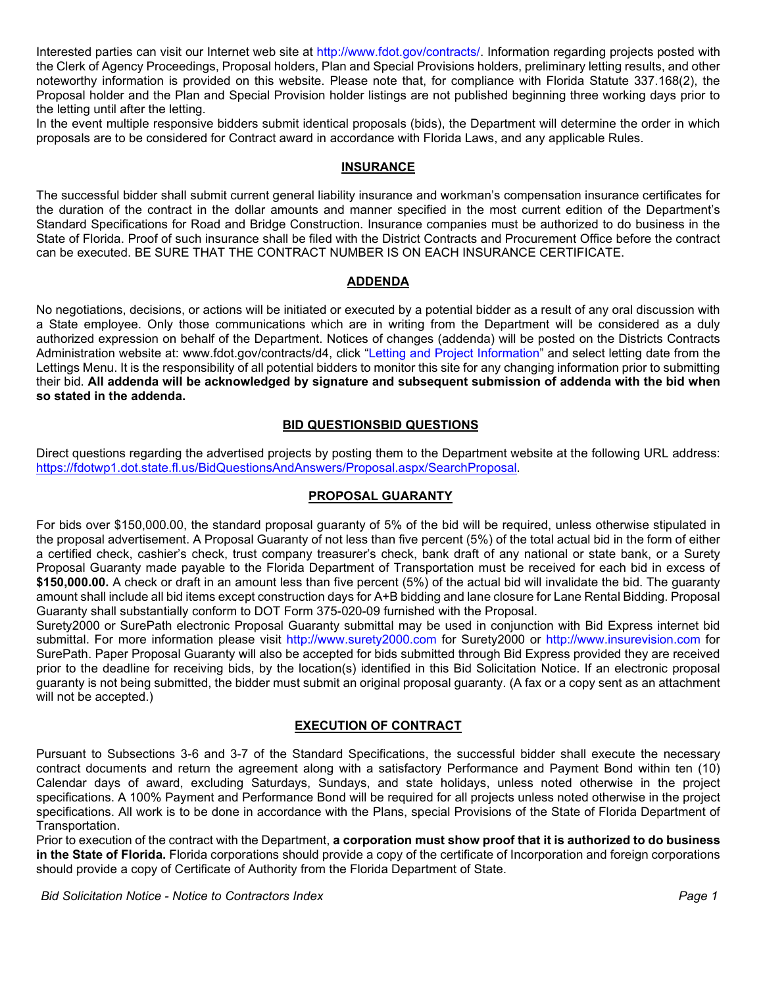Interested parties can visit our Internet web site at http://www.fdot.gov/contracts/. Information regarding projects posted with the Clerk of Agency Proceedings, Proposal holders, Plan and Special Provisions holders, preliminary letting results, and other noteworthy information is provided on this website. Please note that, for compliance with Florida Statute 337.168(2), the Proposal holder and the Plan and Special Provision holder listings are not published beginning three working days prior to the letting until after the letting.

In the event multiple responsive bidders submit identical proposals (bids), the Department will determine the order in which proposals are to be considered for Contract award in accordance with Florida Laws, and any applicable Rules.

#### **INSURANCE**

The successful bidder shall submit current general liability insurance and workman's compensation insurance certificates for the duration of the contract in the dollar amounts and manner specified in the most current edition of the Department's Standard Specifications for Road and Bridge Construction. Insurance companies must be authorized to do business in the State of Florida. Proof of such insurance shall be filed with the District Contracts and Procurement Office before the contract can be executed. BE SURE THAT THE CONTRACT NUMBER IS ON EACH INSURANCE CERTIFICATE.

## **ADDENDA**

No negotiations, decisions, or actions will be initiated or executed by a potential bidder as a result of any oral discussion with a State employee. Only those communications which are in writing from the Department will be considered as a duly authorized expression on behalf of the Department. Notices of changes (addenda) will be posted on the Districts Contracts Administration website at: www.fdot.gov/contracts/d4, click "Letting and Project Information" and select letting date from the Lettings Menu. It is the responsibility of all potential bidders to monitor this site for any changing information prior to submitting their bid. **All addenda will be acknowledged by signature and subsequent submission of addenda with the bid when so stated in the addenda.** 

## **BID QUESTIONSBID QUESTIONS**

Direct questions regarding the advertised projects by posting them to the Department website at the following URL address: [https://fdotwp1.dot.state.fl.us/BidQuestionsAndAnswers/Proposal.aspx/SearchProposal.](https://fdotwp1.dot.state.fl.us/BidQuestionsAndAnswers/Proposal.aspx/SearchProposal)

## **PROPOSAL GUARANTY**

For bids over \$150,000.00, the standard proposal guaranty of 5% of the bid will be required, unless otherwise stipulated in the proposal advertisement. A Proposal Guaranty of not less than five percent (5%) of the total actual bid in the form of either a certified check, cashier's check, trust company treasurer's check, bank draft of any national or state bank, or a Surety Proposal Guaranty made payable to the Florida Department of Transportation must be received for each bid in excess of **\$150,000.00.** A check or draft in an amount less than five percent (5%) of the actual bid will invalidate the bid. The guaranty amount shall include all bid items except construction days for A+B bidding and lane closure for Lane Rental Bidding. Proposal Guaranty shall substantially conform to DOT Form 375-020-09 furnished with the Proposal.

Surety2000 or SurePath electronic Proposal Guaranty submittal may be used in conjunction with Bid Express internet bid submittal. For more information please visit http://www.surety2000.com for Surety2000 or http://www.insurevision.com for SurePath. Paper Proposal Guaranty will also be accepted for bids submitted through Bid Express provided they are received prior to the deadline for receiving bids, by the location(s) identified in this Bid Solicitation Notice. If an electronic proposal guaranty is not being submitted, the bidder must submit an original proposal guaranty. (A fax or a copy sent as an attachment will not be accepted.)

# **EXECUTION OF CONTRACT**

Pursuant to Subsections 3-6 and 3-7 of the Standard Specifications, the successful bidder shall execute the necessary contract documents and return the agreement along with a satisfactory Performance and Payment Bond within ten (10) Calendar days of award, excluding Saturdays, Sundays, and state holidays, unless noted otherwise in the project specifications. A 100% Payment and Performance Bond will be required for all projects unless noted otherwise in the project specifications. All work is to be done in accordance with the Plans, special Provisions of the State of Florida Department of Transportation.

Prior to execution of the contract with the Department, **a corporation must show proof that it is authorized to do business in the State of Florida.** Florida corporations should provide a copy of the certificate of Incorporation and foreign corporations should provide a copy of Certificate of Authority from the Florida Department of State.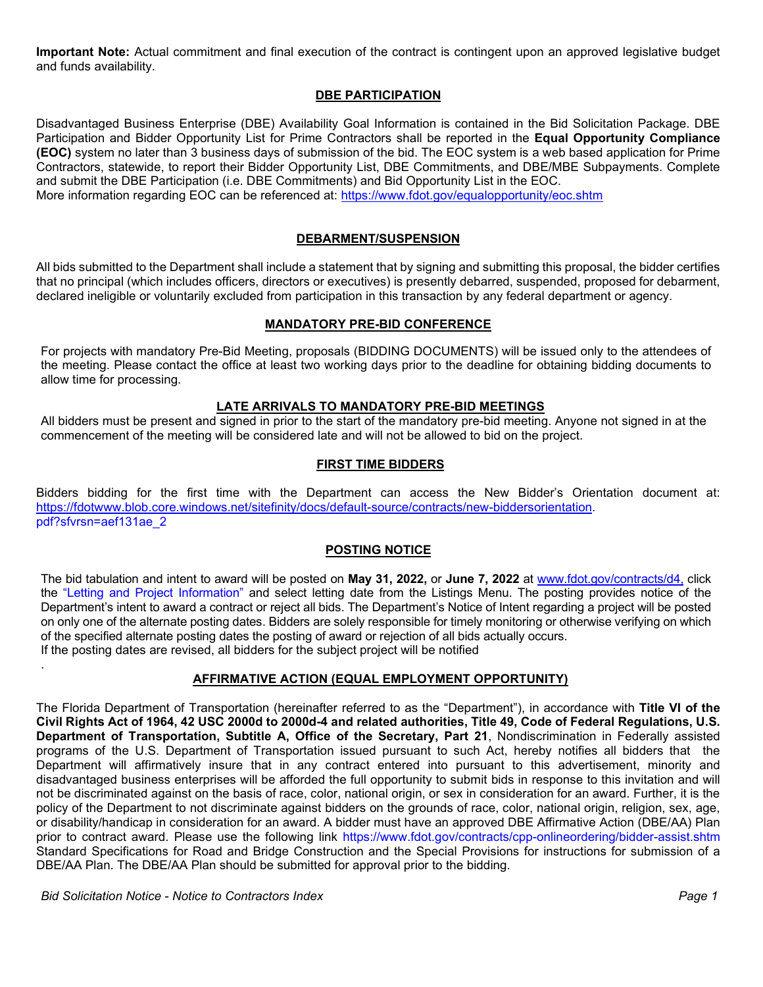**Important Note:** Actual commitment and final execution of the contract is contingent upon an approved legislative budget and funds availability.

# **DBE PARTICIPATION**

Disadvantaged Business Enterprise (DBE) Availability Goal Information is contained in the Bid Solicitation Package. DBE Participation and Bidder Opportunity List for Prime Contractors shall be reported in the **Equal Opportunity Compliance (EOC)** system no later than 3 business days of submission of the bid. The EOC system is a web based application for Prime Contractors, statewide, to report their Bidder Opportunity List, DBE Commitments, and DBE/MBE Subpayments. Complete and submit the DBE Participation (i.e. DBE Commitments) and Bid Opportunity List in the EOC.

More information regarding EOC can be referenced at:<https://www.fdot.gov/equalopportunity/eoc.shtm>

## **DEBARMENT/SUSPENSION**

All bids submitted to the Department shall include a statement that by signing and submitting this proposal, the bidder certifies that no principal (which includes officers, directors or executives) is presently debarred, suspended, proposed for debarment, declared ineligible or voluntarily excluded from participation in this transaction by any federal department or agency.

# **MANDATORY PRE-BID CONFERENCE**

For projects with mandatory Pre-Bid Meeting, proposals (BIDDING DOCUMENTS) will be issued only to the attendees of the meeting. Please contact the office at least two working days prior to the deadline for obtaining bidding documents to allow time for processing.

#### **LATE ARRIVALS TO MANDATORY PRE-BID MEETINGS**

All bidders must be present and signed in prior to the start of the mandatory pre-bid meeting. Anyone not signed in at the commencement of the meeting will be considered late and will not be allowed to bid on the project.

#### **FIRST TIME BIDDERS**

Bidders bidding for the first time with the Department can access the New Bidder's Orientation document at: [https://fdotwww.blob.core.windows.net/sitefinity/docs/default-source/contracts/new-biddersorientation.](https://fdotwww.blob.core.windows.net/sitefinity/docs/default-source/contracts/new-biddersorientation) pdf?sfvrsn=aef131ae\_2

#### **POSTING NOTICE**

The bid tabulation and intent to award will be posted on **May 31, 2022,** or **June 7, 2022** at [www.fdot.gov/contracts/d4,](http://www.fdot.gov/contracts/d4,) click the "Letting and Project Information" and select letting date from the Listings Menu. The posting provides notice of the Department's intent to award a contract or reject all bids. The Department's Notice of Intent regarding a project will be posted on only one of the alternate posting dates. Bidders are solely responsible for timely monitoring or otherwise verifying on which of the specified alternate posting dates the posting of award or rejection of all bids actually occurs. If the posting dates are revised, all bidders for the subject project will be notified

#### **AFFIRMATIVE ACTION (EQUAL EMPLOYMENT OPPORTUNITY)**

The Florida Department of Transportation (hereinafter referred to as the "Department"), in accordance with **Title VI of the Civil Rights Act of 1964, 42 USC 2000d to 2000d-4 and related authorities, Title 49, Code of Federal Regulations, U.S. Department of Transportation, Subtitle A, Office of the Secretary, Part 21**, Nondiscrimination in Federally assisted programs of the U.S. Department of Transportation issued pursuant to such Act, hereby notifies all bidders that the Department will affirmatively insure that in any contract entered into pursuant to this advertisement, minority and disadvantaged business enterprises will be afforded the full opportunity to submit bids in response to this invitation and will not be discriminated against on the basis of race, color, national origin, or sex in consideration for an award. Further, it is the policy of the Department to not discriminate against bidders on the grounds of race, color, national origin, religion, sex, age, or disability/handicap in consideration for an award. A bidder must have an approved DBE Affirmative Action (DBE/AA) Plan prior to contract award. Please use the following link https://www.fdot.gov/contracts/cpp-onlineordering/bidder-assist.shtm Standard Specifications for Road and Bridge Construction and the Special Provisions for instructions for submission of a DBE/AA Plan. The DBE/AA Plan should be submitted for approval prior to the bidding.

*Bid Solicitation Notice - Notice to Contractors Index Page 1* 

.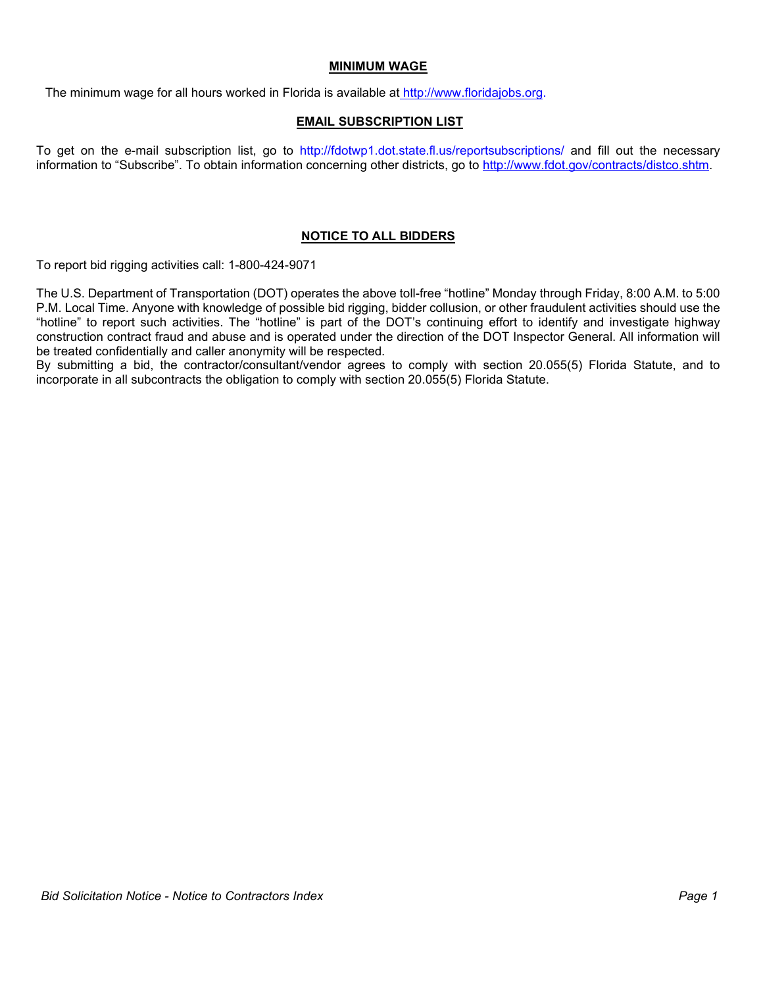#### **MINIMUM WAGE**

The minimum wage for all hours worked in Florida is available at [http://www.floridajobs.org.](http://www.floridajobs.org/)

#### **EMAIL SUBSCRIPTION LIST**

To get on the e-mail subscription list, go to http://fdotwp1.dot.state.fl.us/reportsubscriptions/ and fill out the necessary information to "Subscribe". To obtain information concerning other districts, go to [http://www.fdot.gov/contracts/distco.shtm.](http://www.fdot.gov/contracts/distco.shtm)

# **NOTICE TO ALL BIDDERS**

To report bid rigging activities call: 1-800-424-9071

The U.S. Department of Transportation (DOT) operates the above toll-free "hotline" Monday through Friday, 8:00 A.M. to 5:00 P.M. Local Time. Anyone with knowledge of possible bid rigging, bidder collusion, or other fraudulent activities should use the "hotline" to report such activities. The "hotline" is part of the DOT's continuing effort to identify and investigate highway construction contract fraud and abuse and is operated under the direction of the DOT Inspector General. All information will be treated confidentially and caller anonymity will be respected.

By submitting a bid, the contractor/consultant/vendor agrees to comply with section 20.055(5) Florida Statute, and to incorporate in all subcontracts the obligation to comply with section 20.055(5) Florida Statute.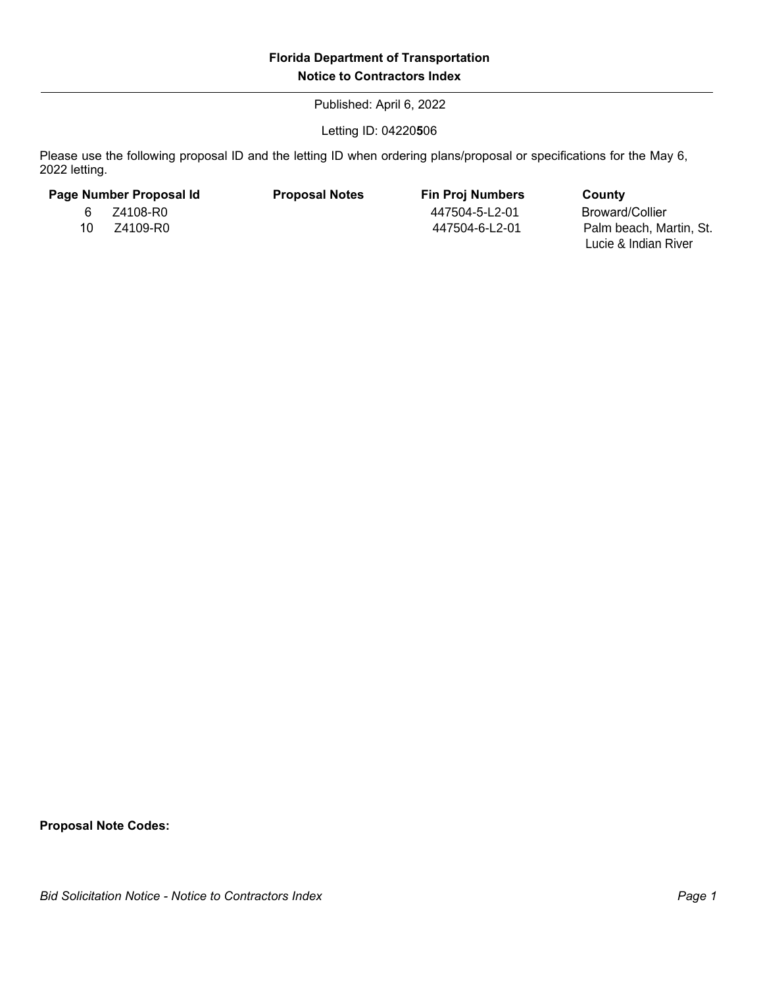Published: April 6, 2022

Letting ID: 04220**5**06

Please use the following proposal ID and the letting ID when ordering plans/proposal or specifications for the May 6, 2022 letting.

| Page Number Proposal Id |          | <b>Proposal Notes</b> | <b>Fin Proj Numbers</b> | County                                          |
|-------------------------|----------|-----------------------|-------------------------|-------------------------------------------------|
| 6.                      | Z4108-R0 |                       | 447504-5-L2-01          | Broward/Collier                                 |
| 10.                     | Z4109-R0 |                       | 447504-6-L2-01          | Palm beach, Martin, St.<br>Lucie & Indian River |

**Proposal Note Codes:**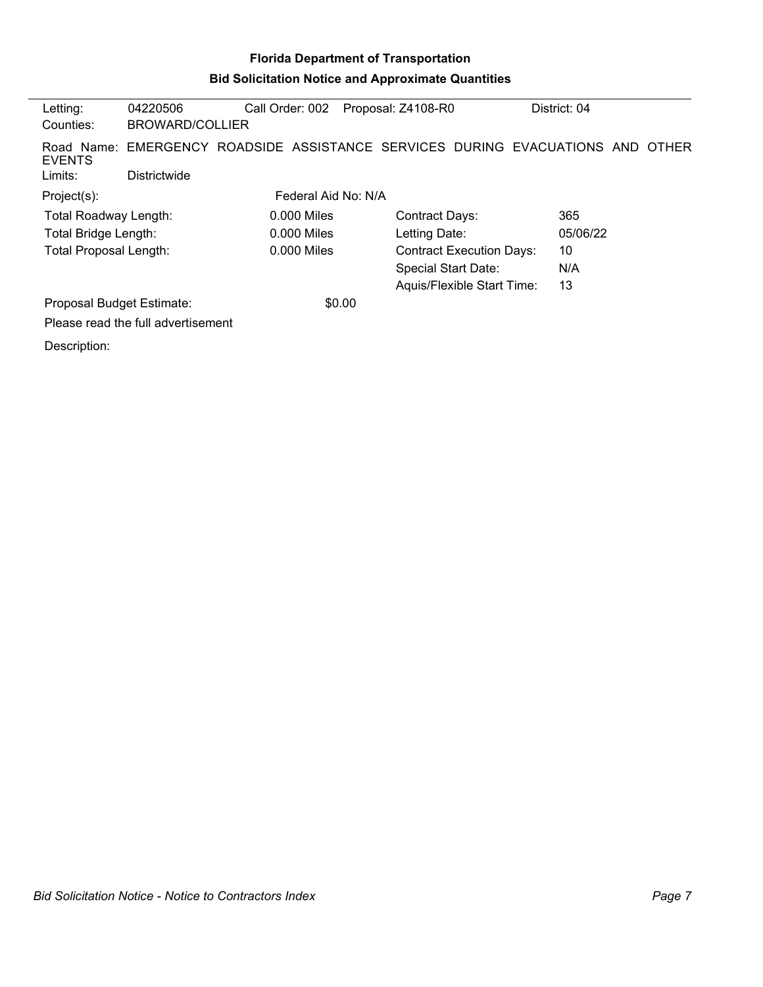# **Florida Department of Transportation Bid Solicitation Notice and Approximate Quantities**

| Letting:                      | 04220506                           | Call Order: 002     | Proposal: Z4108-R0         | District: 04                                                                   |  |
|-------------------------------|------------------------------------|---------------------|----------------------------|--------------------------------------------------------------------------------|--|
| Counties:                     | BROWARD/COLLIER                    |                     |                            |                                                                                |  |
| <b>EVENTS</b>                 |                                    |                     |                            | Road Name: EMERGENCY ROADSIDE ASSISTANCE SERVICES DURING EVACUATIONS AND OTHER |  |
| Limits:                       | Districtwide                       |                     |                            |                                                                                |  |
| Project(s):                   |                                    | Federal Aid No: N/A |                            |                                                                                |  |
| Total Roadway Length:         |                                    | $0.000$ Miles       | Contract Days:             | 365                                                                            |  |
| Total Bridge Length:          |                                    | $0.000$ Miles       | Letting Date:              | 05/06/22                                                                       |  |
| <b>Total Proposal Length:</b> |                                    | 0.000 Miles         |                            | 10<br><b>Contract Execution Days:</b>                                          |  |
|                               |                                    |                     | <b>Special Start Date:</b> | N/A                                                                            |  |
|                               |                                    |                     |                            | 13<br>Aquis/Flexible Start Time:                                               |  |
| Proposal Budget Estimate:     |                                    |                     | \$0.00                     |                                                                                |  |
|                               | Please read the full advertisement |                     |                            |                                                                                |  |
| Description:                  |                                    |                     |                            |                                                                                |  |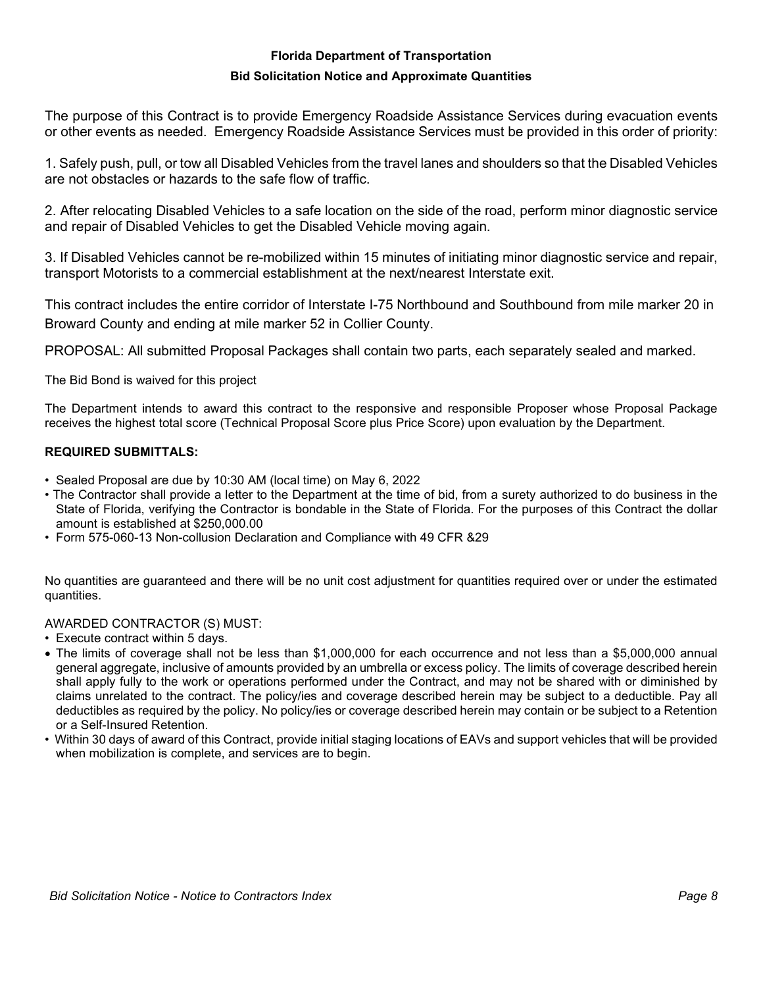## **Florida Department of Transportation**

#### **Bid Solicitation Notice and Approximate Quantities**

The purpose of this Contract is to provide Emergency Roadside Assistance Services during evacuation events or other events as needed. Emergency Roadside Assistance Services must be provided in this order of priority:

1. Safely push, pull, or tow all Disabled Vehicles from the travel lanes and shoulders so that the Disabled Vehicles are not obstacles or hazards to the safe flow of traffic.

2. After relocating Disabled Vehicles to a safe location on the side of the road, perform minor diagnostic service and repair of Disabled Vehicles to get the Disabled Vehicle moving again.

3. If Disabled Vehicles cannot be re-mobilized within 15 minutes of initiating minor diagnostic service and repair, transport Motorists to a commercial establishment at the next/nearest Interstate exit.

This contract includes the entire corridor of Interstate I-75 Northbound and Southbound from mile marker 20 in Broward County and ending at mile marker 52 in Collier County.

PROPOSAL: All submitted Proposal Packages shall contain two parts, each separately sealed and marked.

The Bid Bond is waived for this project

The Department intends to award this contract to the responsive and responsible Proposer whose Proposal Package receives the highest total score (Technical Proposal Score plus Price Score) upon evaluation by the Department.

# **REQUIRED SUBMITTALS:**

- Sealed Proposal are due by 10:30 AM (local time) on May 6, 2022
- The Contractor shall provide a letter to the Department at the time of bid, from a surety authorized to do business in the State of Florida, verifying the Contractor is bondable in the State of Florida. For the purposes of this Contract the dollar amount is established at \$250,000.00
- Form 575-060-13 Non-collusion Declaration and Compliance with 49 CFR &29

No quantities are guaranteed and there will be no unit cost adjustment for quantities required over or under the estimated quantities.

#### AWARDED CONTRACTOR (S) MUST:

- Execute contract within 5 days.
- The limits of coverage shall not be less than \$1,000,000 for each occurrence and not less than a \$5,000,000 annual general aggregate, inclusive of amounts provided by an umbrella or excess policy. The limits of coverage described herein shall apply fully to the work or operations performed under the Contract, and may not be shared with or diminished by claims unrelated to the contract. The policy/ies and coverage described herein may be subject to a deductible. Pay all deductibles as required by the policy. No policy/ies or coverage described herein may contain or be subject to a Retention or a Self-Insured Retention.
- Within 30 days of award of this Contract, provide initial staging locations of EAVs and support vehicles that will be provided when mobilization is complete, and services are to begin.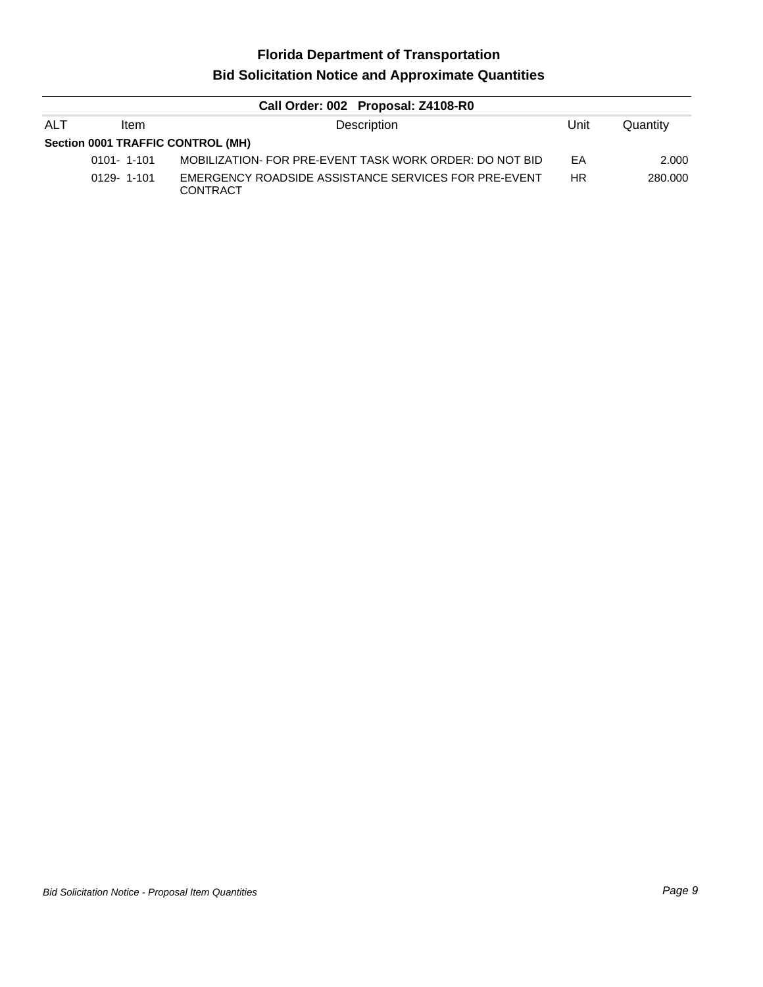# **Florida Department of Transportation Bid Solicitation Notice and Approximate Quantities**

| Call Order: 002 Proposal: Z4108-R0 |                  |                                                                         |           |          |  |  |  |
|------------------------------------|------------------|-------------------------------------------------------------------------|-----------|----------|--|--|--|
| <b>ALT</b>                         | <b>Item</b>      | Description                                                             | Unit      | Quantity |  |  |  |
| Section 0001 TRAFFIC CONTROL (MH)  |                  |                                                                         |           |          |  |  |  |
|                                    | $0101 - 1 - 101$ | MOBILIZATION- FOR PRE-EVENT TASK WORK ORDER: DO NOT BID                 | EA        | 2.000    |  |  |  |
|                                    | $0129 - 1 - 101$ | EMERGENCY ROADSIDE ASSISTANCE SERVICES FOR PRE-EVENT<br><b>CONTRACT</b> | <b>HR</b> | 280,000  |  |  |  |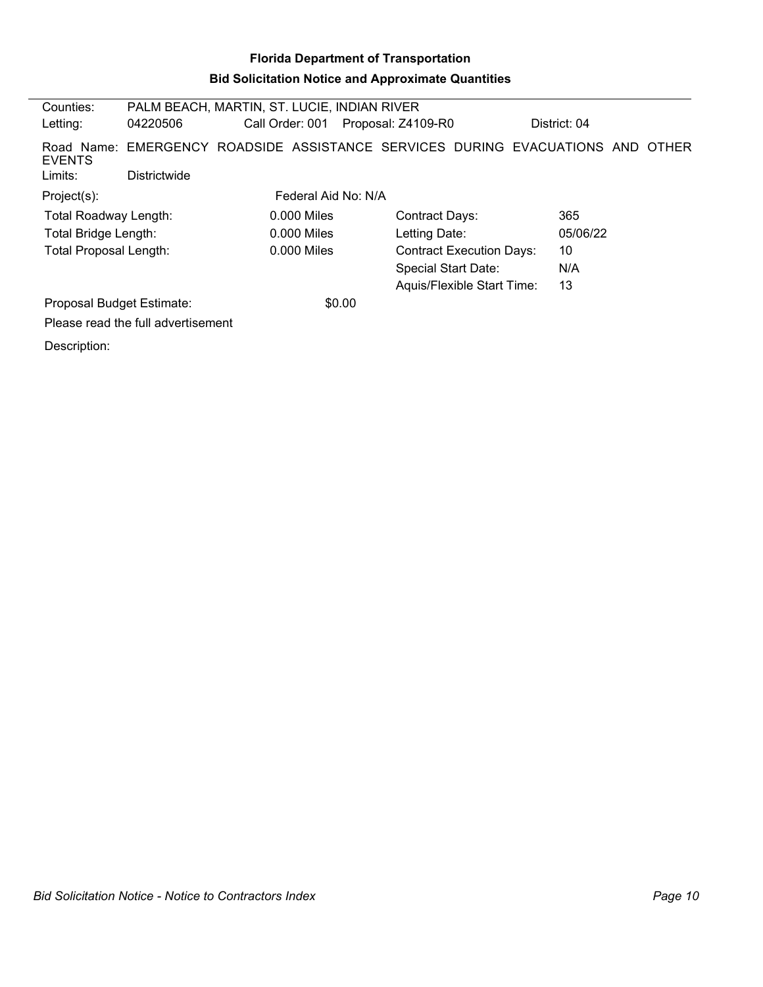# **Florida Department of Transportation Bid Solicitation Notice and Approximate Quantities**

| Counties:                     |                                    | PALM BEACH, MARTIN, ST. LUCIE, INDIAN RIVER                                    |                    |                                 |              |  |  |
|-------------------------------|------------------------------------|--------------------------------------------------------------------------------|--------------------|---------------------------------|--------------|--|--|
| Letting:                      | 04220506                           | Call Order: 001                                                                | Proposal: Z4109-R0 |                                 | District: 04 |  |  |
| <b>EVENTS</b>                 |                                    | Road Name: EMERGENCY ROADSIDE ASSISTANCE SERVICES DURING EVACUATIONS AND OTHER |                    |                                 |              |  |  |
| Limits:                       | Districtwide                       |                                                                                |                    |                                 |              |  |  |
| Project(s):                   |                                    | Federal Aid No: N/A                                                            |                    |                                 |              |  |  |
| <b>Total Roadway Length:</b>  |                                    | $0.000$ Miles                                                                  |                    | <b>Contract Days:</b>           | 365          |  |  |
| Total Bridge Length:          |                                    | $0.000$ Miles                                                                  |                    | Letting Date:                   | 05/06/22     |  |  |
| <b>Total Proposal Length:</b> |                                    | $0.000$ Miles                                                                  |                    | <b>Contract Execution Days:</b> | 10           |  |  |
|                               |                                    |                                                                                |                    | <b>Special Start Date:</b>      | N/A          |  |  |
|                               |                                    |                                                                                |                    | Aquis/Flexible Start Time:      | 13           |  |  |
| Proposal Budget Estimate:     |                                    |                                                                                | \$0.00             |                                 |              |  |  |
|                               | Please read the full advertisement |                                                                                |                    |                                 |              |  |  |
| Description:                  |                                    |                                                                                |                    |                                 |              |  |  |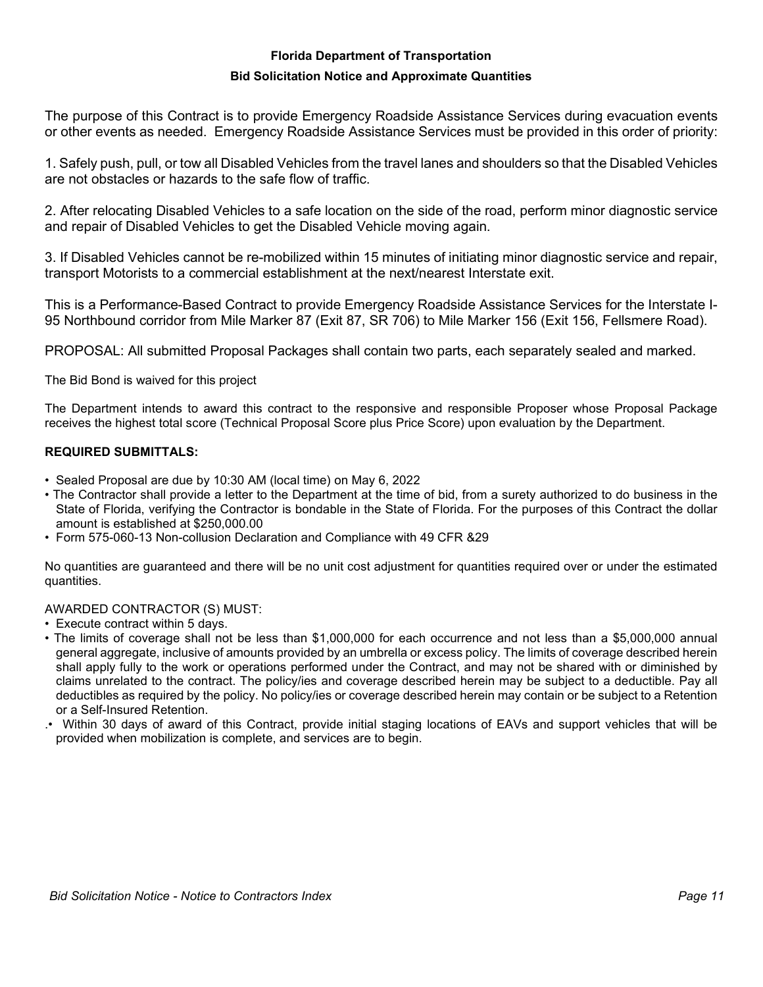## **Florida Department of Transportation**

#### **Bid Solicitation Notice and Approximate Quantities**

The purpose of this Contract is to provide Emergency Roadside Assistance Services during evacuation events or other events as needed. Emergency Roadside Assistance Services must be provided in this order of priority:

1. Safely push, pull, or tow all Disabled Vehicles from the travel lanes and shoulders so that the Disabled Vehicles are not obstacles or hazards to the safe flow of traffic.

2. After relocating Disabled Vehicles to a safe location on the side of the road, perform minor diagnostic service and repair of Disabled Vehicles to get the Disabled Vehicle moving again.

3. If Disabled Vehicles cannot be re-mobilized within 15 minutes of initiating minor diagnostic service and repair, transport Motorists to a commercial establishment at the next/nearest Interstate exit.

This is a Performance-Based Contract to provide Emergency Roadside Assistance Services for the Interstate I-95 Northbound corridor from Mile Marker 87 (Exit 87, SR 706) to Mile Marker 156 (Exit 156, Fellsmere Road).

PROPOSAL: All submitted Proposal Packages shall contain two parts, each separately sealed and marked.

The Bid Bond is waived for this project

The Department intends to award this contract to the responsive and responsible Proposer whose Proposal Package receives the highest total score (Technical Proposal Score plus Price Score) upon evaluation by the Department.

# **REQUIRED SUBMITTALS:**

- Sealed Proposal are due by 10:30 AM (local time) on May 6, 2022
- The Contractor shall provide a letter to the Department at the time of bid, from a surety authorized to do business in the State of Florida, verifying the Contractor is bondable in the State of Florida. For the purposes of this Contract the dollar amount is established at \$250,000.00
- Form 575-060-13 Non-collusion Declaration and Compliance with 49 CFR &29

No quantities are guaranteed and there will be no unit cost adjustment for quantities required over or under the estimated quantities.

#### AWARDED CONTRACTOR (S) MUST:

- Execute contract within 5 days.
- The limits of coverage shall not be less than \$1,000,000 for each occurrence and not less than a \$5,000,000 annual general aggregate, inclusive of amounts provided by an umbrella or excess policy. The limits of coverage described herein shall apply fully to the work or operations performed under the Contract, and may not be shared with or diminished by claims unrelated to the contract. The policy/ies and coverage described herein may be subject to a deductible. Pay all deductibles as required by the policy. No policy/ies or coverage described herein may contain or be subject to a Retention or a Self-Insured Retention.
- .• Within 30 days of award of this Contract, provide initial staging locations of EAVs and support vehicles that will be provided when mobilization is complete, and services are to begin.